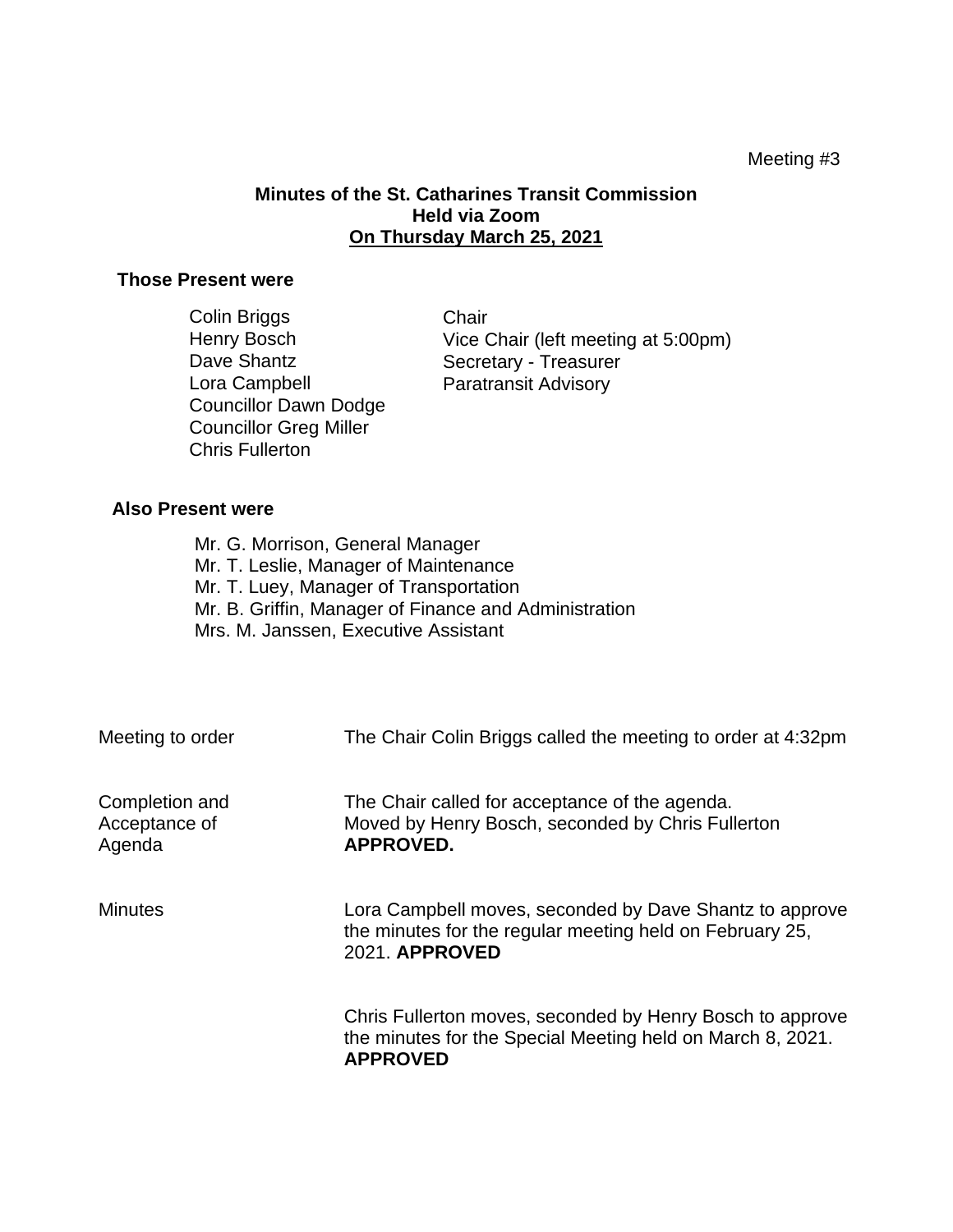## Meeting #3

## **Minutes of the St. Catharines Transit Commission Held via Zoom On Thursday March 25, 2021**

## **Those Present were**

| <b>Colin Briggs</b>           | Chair                               |
|-------------------------------|-------------------------------------|
| Henry Bosch                   | Vice Chair (left meeting at 5:00pm) |
| Dave Shantz                   | Secretary - Treasurer               |
| Lora Campbell                 | <b>Paratransit Advisory</b>         |
| <b>Councillor Dawn Dodge</b>  |                                     |
| <b>Councillor Greg Miller</b> |                                     |
| <b>Chris Fullerton</b>        |                                     |

## **Also Present were**

Mr. G. Morrison, General Manager Mr. T. Leslie, Manager of Maintenance Mr. T. Luey, Manager of Transportation Mr. B. Griffin, Manager of Finance and Administration Mrs. M. Janssen, Executive Assistant

| Meeting to order                          | The Chair Colin Briggs called the meeting to order at 4:32pm                                                                               |
|-------------------------------------------|--------------------------------------------------------------------------------------------------------------------------------------------|
| Completion and<br>Acceptance of<br>Agenda | The Chair called for acceptance of the agenda.<br>Moved by Henry Bosch, seconded by Chris Fullerton<br><b>APPROVED.</b>                    |
| <b>Minutes</b>                            | Lora Campbell moves, seconded by Dave Shantz to approve<br>the minutes for the regular meeting held on February 25,<br>2021. APPROVED      |
|                                           | Chris Fullerton moves, seconded by Henry Bosch to approve<br>the minutes for the Special Meeting held on March 8, 2021.<br><b>APPROVED</b> |